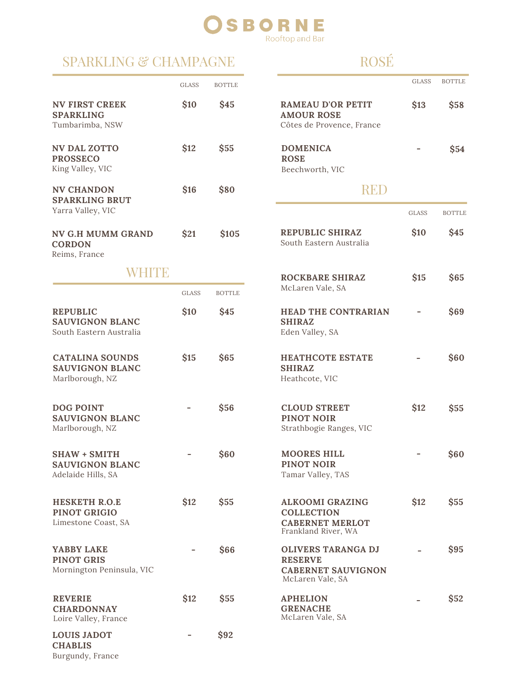#### **RNE** SBC Rooftop and Bar

### SPARKLING & CHAMPAGNE

## ROSÉ

GLASS BOTTLE

GLASS BOTTLE

**\$13 \$58**

**- \$54**

**\$10 \$45**

**\$15 \$65**

**- \$69**

**- \$60**

**\$12 \$55**

**- \$60**

**\$12 \$55**

**- \$95**

**- \$52**

|                                                                      | <b>GLASS</b> | <b>BOTTLE</b> |                                                                                              |
|----------------------------------------------------------------------|--------------|---------------|----------------------------------------------------------------------------------------------|
| <b>NV FIRST CREEK</b><br><b>SPARKLING</b><br>Tumbarimba, NSW         | \$10         | \$45          | <b>RAMEAU D'OR PETIT</b><br><b>AMOUR ROSE</b><br>Côtes de Provence, France                   |
| <b>NV DAL ZOTTO</b><br><b>PROSSECO</b><br>King Valley, VIC           | \$12         | \$55          | <b>DOMENICA</b><br><b>ROSE</b><br>Beechworth, VIC                                            |
| <b>NV CHANDON</b><br><b>SPARKLING BRUT</b><br>Yarra Valley, VIC      | \$16         | \$80          | REE                                                                                          |
| <b>NV G.H MUMM GRAND</b><br><b>CORDON</b><br>Reims, France           | \$21         | \$105         | <b>REPUBLIC SHIRAZ</b><br>South Eastern Australia                                            |
| WHITE                                                                |              |               | <b>ROCKBARE SHIRAZ</b>                                                                       |
|                                                                      | <b>GLASS</b> | <b>BOTTLE</b> | McLaren Vale, SA                                                                             |
| <b>REPUBLIC</b><br><b>SAUVIGNON BLANC</b><br>South Eastern Australia | \$10         | \$45          | <b>HEAD THE CONTRARIAN</b><br><b>SHIRAZ</b><br>Eden Valley, SA                               |
| <b>CATALINA SOUNDS</b><br><b>SAUVIGNON BLANC</b><br>Marlborough, NZ  | \$15         | \$65          | <b>HEATHCOTE ESTATE</b><br><b>SHIRAZ</b><br>Heathcote, VIC                                   |
| <b>DOG POINT</b><br><b>SAUVIGNON BLANC</b><br>Marlborough, NZ        |              | \$56          | <b>CLOUD STREET</b><br><b>PINOT NOIR</b><br>Strathbogie Ranges, VIC                          |
| <b>SHAW + SMITH</b><br><b>SAUVIGNON BLANC</b><br>Adelaide Hills, SA  |              | \$60          | <b>MOORES HILL</b><br>PINOT NOIR<br>Tamar Valley, TAS                                        |
| <b>HESKETH R.O.E</b><br><b>PINOT GRIGIO</b><br>Limestone Coast, SA   | \$12         | \$55          | <b>ALKOOMI GRAZING</b><br><b>COLLECTION</b><br><b>CABERNET MERLOT</b><br>Frankland River, WA |
| YABBY LAKE<br><b>PINOT GRIS</b><br>Mornington Peninsula, VIC         |              | \$66          | <b>OLIVERS TARANGA DJ</b><br><b>RESERVE</b><br><b>CABERNET SAUVIGNON</b><br>McLaren Vale, SA |
| <b>REVERIE</b><br><b>CHARDONNAY</b><br>Loire Valley, France          | \$12         | \$55          | <b>APHELION</b><br><b>GRENACHE</b><br>McLaren Vale, SA                                       |
| <b>LOUIS JADOT</b><br><b>CHABLIS</b><br>Burgundy, France             |              | \$92          |                                                                                              |